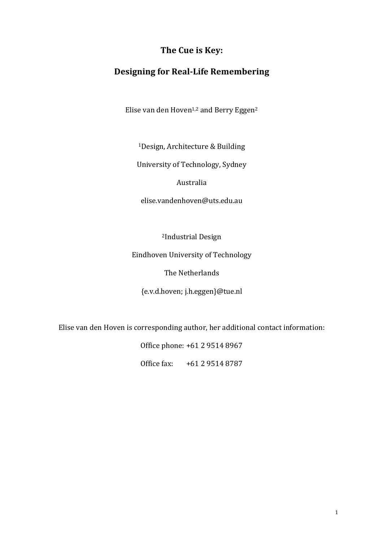# The Cue is Key:

# **Designing for Real-Life Remembering**

Elise van den Hoven<sup>1,2</sup> and Berry Eggen<sup>2</sup>

<sup>1</sup>Design, Architecture & Building

University of Technology, Sydney

Australia

elise.vandenhoven@uts.edu.au

<sup>2</sup>Industrial Design

Eindhoven University of Technology

The Netherlands

{e.v.d.hoven; j.h.eggen}@tue.nl

Elise van den Hoven is corresponding author, her additional contact information:

Office phone: +61 2 9514 8967

Office fax: +61 2 9514 8787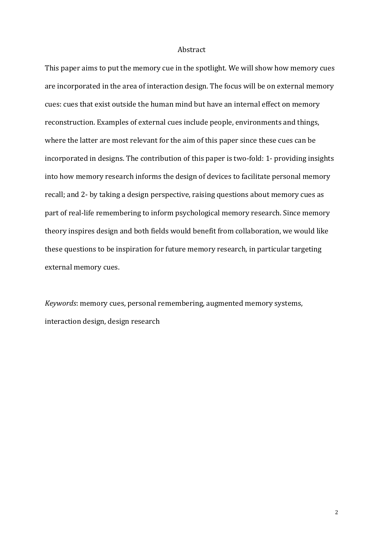## Abstract

This paper aims to put the memory cue in the spotlight. We will show how memory cues are incorporated in the area of interaction design. The focus will be on external memory cues: cues that exist outside the human mind but have an internal effect on memory reconstruction. Examples of external cues include people, environments and things, where the latter are most relevant for the aim of this paper since these cues can be incorporated in designs. The contribution of this paper is two-fold: 1- providing insights into how memory research informs the design of devices to facilitate personal memory recall; and 2- by taking a design perspective, raising questions about memory cues as part of real-life remembering to inform psychological memory research. Since memory theory inspires design and both fields would benefit from collaboration, we would like these questions to be inspiration for future memory research, in particular targeting external memory cues.

*Keywords*: memory cues, personal remembering, augmented memory systems, interaction design, design research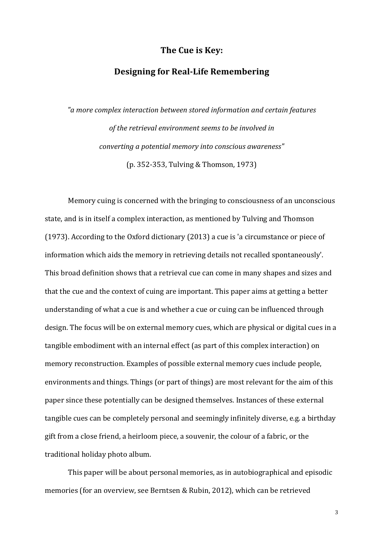## The Cue is Key:

## **Designing for Real-Life Remembering**

*"a more complex interaction between stored information and certain features*  of the retrieval environment seems to be involved in *converting a potential memory into conscious awareness"* (p. 352-353, Tulving & Thomson, 1973)

Memory cuing is concerned with the bringing to consciousness of an unconscious state, and is in itself a complex interaction, as mentioned by Tulving and Thomson (1973). According to the Oxford dictionary  $(2013)$  a cue is 'a circumstance or piece of information which aids the memory in retrieving details not recalled spontaneously'. This broad definition shows that a retrieval cue can come in many shapes and sizes and that the cue and the context of cuing are important. This paper aims at getting a better understanding of what a cue is and whether a cue or cuing can be influenced through design. The focus will be on external memory cues, which are physical or digital cues in a tangible embodiment with an internal effect (as part of this complex interaction) on memory reconstruction. Examples of possible external memory cues include people, environments and things. Things (or part of things) are most relevant for the aim of this paper since these potentially can be designed themselves. Instances of these external tangible cues can be completely personal and seemingly infinitely diverse, e.g. a birthday gift from a close friend, a heirloom piece, a souvenir, the colour of a fabric, or the traditional holiday photo album.

This paper will be about personal memories, as in autobiographical and episodic memories (for an overview, see Berntsen & Rubin, 2012), which can be retrieved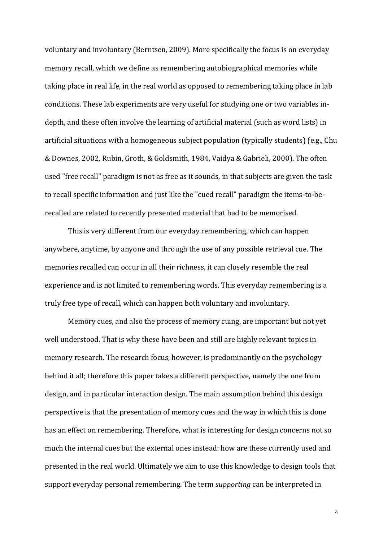voluntary and involuntary (Berntsen, 2009). More specifically the focus is on everyday memory recall, which we define as remembering autobiographical memories while taking place in real life, in the real world as opposed to remembering taking place in lab conditions. These lab experiments are very useful for studying one or two variables indepth, and these often involve the learning of artificial material (such as word lists) in artificial situations with a homogeneous subject population (typically students) (e.g., Chu & Downes, 2002, Rubin, Groth, & Goldsmith, 1984, Vaidya & Gabrieli, 2000). The often used "free recall" paradigm is not as free as it sounds, in that subjects are given the task to recall specific information and just like the "cued recall" paradigm the items-to-berecalled are related to recently presented material that had to be memorised.

This is very different from our everyday remembering, which can happen anywhere, anytime, by anyone and through the use of any possible retrieval cue. The memories recalled can occur in all their richness, it can closely resemble the real experience and is not limited to remembering words. This everyday remembering is a truly free type of recall, which can happen both voluntary and involuntary.

Memory cues, and also the process of memory cuing, are important but not yet well understood. That is why these have been and still are highly relevant topics in memory research. The research focus, however, is predominantly on the psychology behind it all; therefore this paper takes a different perspective, namely the one from design, and in particular interaction design. The main assumption behind this design perspective is that the presentation of memory cues and the way in which this is done has an effect on remembering. Therefore, what is interesting for design concerns not so much the internal cues but the external ones instead: how are these currently used and presented in the real world. Ultimately we aim to use this knowledge to design tools that support everyday personal remembering. The term *supporting* can be interpreted in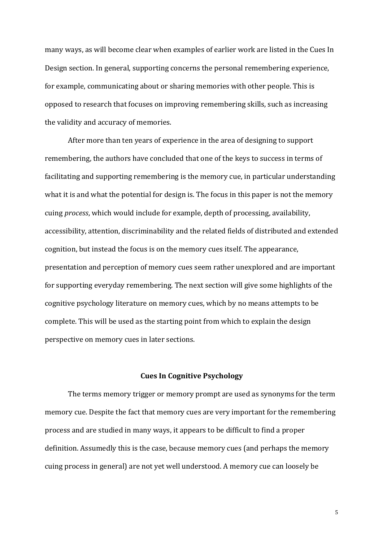many ways, as will become clear when examples of earlier work are listed in the Cues In Design section. In general, supporting concerns the personal remembering experience, for example, communicating about or sharing memories with other people. This is opposed to research that focuses on improving remembering skills, such as increasing the validity and accuracy of memories.

After more than ten years of experience in the area of designing to support remembering, the authors have concluded that one of the keys to success in terms of facilitating and supporting remembering is the memory cue, in particular understanding what it is and what the potential for design is. The focus in this paper is not the memory cuing *process*, which would include for example, depth of processing, availability, accessibility, attention, discriminability and the related fields of distributed and extended cognition, but instead the focus is on the memory cues itself. The appearance, presentation and perception of memory cues seem rather unexplored and are important for supporting everyday remembering. The next section will give some highlights of the cognitive psychology literature on memory cues, which by no means attempts to be complete. This will be used as the starting point from which to explain the design perspective on memory cues in later sections.

### **Cues In Cognitive Psychology**

The terms memory trigger or memory prompt are used as synonyms for the term memory cue. Despite the fact that memory cues are very important for the remembering process and are studied in many ways, it appears to be difficult to find a proper definition. Assumedly this is the case, because memory cues (and perhaps the memory cuing process in general) are not yet well understood. A memory cue can loosely be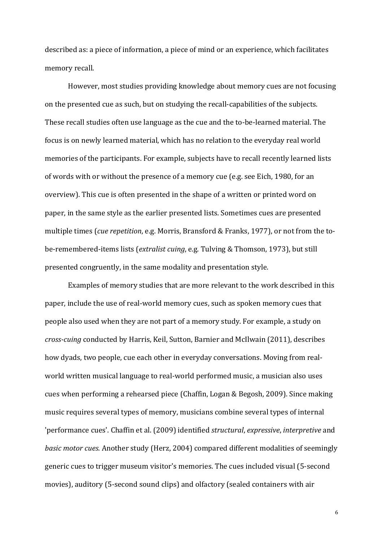described as: a piece of information, a piece of mind or an experience, which facilitates memory recall.

However, most studies providing knowledge about memory cues are not focusing on the presented cue as such, but on studying the recall-capabilities of the subjects. These recall studies often use language as the cue and the to-be-learned material. The focus is on newly learned material, which has no relation to the everyday real world memories of the participants. For example, subjects have to recall recently learned lists of words with or without the presence of a memory cue (e.g. see Eich, 1980, for an overview). This cue is often presented in the shape of a written or printed word on paper, in the same style as the earlier presented lists. Sometimes cues are presented multiple times (*cue repetition*, e.g. Morris, Bransford & Franks, 1977), or not from the tobe-remembered-items lists (*extralist cuing*, e.g. Tulving & Thomson, 1973), but still presented congruently, in the same modality and presentation style.

Examples of memory studies that are more relevant to the work described in this paper, include the use of real-world memory cues, such as spoken memory cues that people also used when they are not part of a memory study. For example, a study on *cross-cuing* conducted by Harris, Keil, Sutton, Barnier and McIlwain (2011), describes how dyads, two people, cue each other in everyday conversations. Moving from realworld written musical language to real-world performed music, a musician also uses cues when performing a rehearsed piece (Chaffin, Logan & Begosh, 2009). Since making music requires several types of memory, musicians combine several types of internal 'performance cues'. Chaffin et al. (2009) identified *structural*, *expressive*, *interpretive* and *basic motor cues*. Another study (Herz, 2004) compared different modalities of seemingly generic cues to trigger museum visitor's memories. The cues included visual (5-second movies), auditory (5-second sound clips) and olfactory (sealed containers with air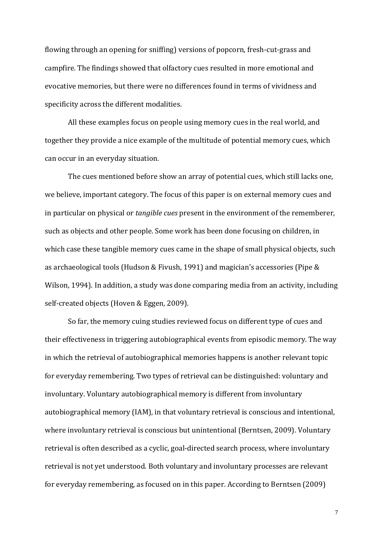flowing through an opening for sniffing) versions of popcorn, fresh-cut-grass and campfire. The findings showed that olfactory cues resulted in more emotional and evocative memories, but there were no differences found in terms of vividness and specificity across the different modalities.

All these examples focus on people using memory cues in the real world, and together they provide a nice example of the multitude of potential memory cues, which can occur in an everyday situation.

The cues mentioned before show an array of potential cues, which still lacks one, we believe, important category. The focus of this paper is on external memory cues and in particular on physical or *tangible cues* present in the environment of the rememberer, such as objects and other people. Some work has been done focusing on children, in which case these tangible memory cues came in the shape of small physical objects, such as archaeological tools (Hudson & Fivush, 1991) and magician's accessories (Pipe & Wilson, 1994). In addition, a study was done comparing media from an activity, including self-created objects (Hoven & Eggen, 2009).

So far, the memory cuing studies reviewed focus on different type of cues and their effectiveness in triggering autobiographical events from episodic memory. The way in which the retrieval of autobiographical memories happens is another relevant topic for everyday remembering. Two types of retrieval can be distinguished: voluntary and involuntary. Voluntary autobiographical memory is different from involuntary autobiographical memory (IAM), in that voluntary retrieval is conscious and intentional, where involuntary retrieval is conscious but unintentional (Berntsen, 2009). Voluntary retrieval is often described as a cyclic, goal-directed search process, where involuntary retrieval is not yet understood. Both voluntary and involuntary processes are relevant for everyday remembering, as focused on in this paper. According to Berntsen (2009)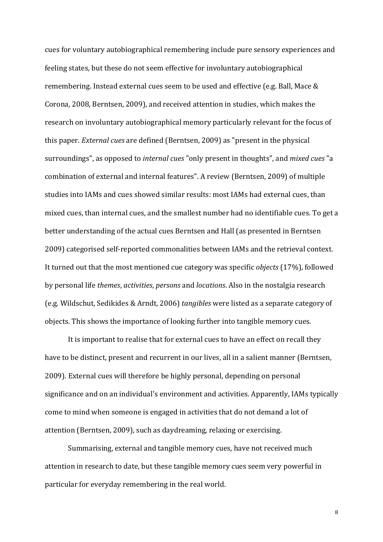cues for voluntary autobiographical remembering include pure sensory experiences and feeling states, but these do not seem effective for involuntary autobiographical remembering. Instead external cues seem to be used and effective (e.g. Ball, Mace & Corona, 2008, Berntsen, 2009), and received attention in studies, which makes the research on involuntary autobiographical memory particularly relevant for the focus of this paper. *External cues* are defined (Berntsen, 2009) as "present in the physical surroundings", as opposed to *internal cues* "only present in thoughts", and *mixed cues* "a combination of external and internal features". A review (Berntsen, 2009) of multiple studies into IAMs and cues showed similar results: most IAMs had external cues, than mixed cues, than internal cues, and the smallest number had no identifiable cues. To get a better understanding of the actual cues Berntsen and Hall (as presented in Berntsen 2009) categorised self-reported commonalities between IAMs and the retrieval context. It turned out that the most mentioned cue category was specific *objects* (17%), followed by personal life *themes*, *activities*, *persons* and *locations*. Also in the nostalgia research (e.g. Wildschut, Sedikides & Arndt, 2006) *tangibles* were listed as a separate category of objects. This shows the importance of looking further into tangible memory cues.

It is important to realise that for external cues to have an effect on recall they have to be distinct, present and recurrent in our lives, all in a salient manner (Berntsen, 2009). External cues will therefore be highly personal, depending on personal significance and on an individual's environment and activities. Apparently, IAMs typically come to mind when someone is engaged in activities that do not demand a lot of attention (Berntsen, 2009), such as daydreaming, relaxing or exercising.

Summarising, external and tangible memory cues, have not received much attention in research to date, but these tangible memory cues seem very powerful in particular for everyday remembering in the real world.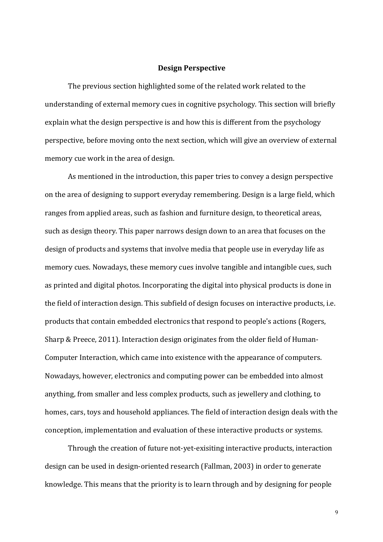## **Design Perspective**

The previous section highlighted some of the related work related to the understanding of external memory cues in cognitive psychology. This section will briefly explain what the design perspective is and how this is different from the psychology perspective, before moving onto the next section, which will give an overview of external memory cue work in the area of design.

As mentioned in the introduction, this paper tries to convey a design perspective on the area of designing to support everyday remembering. Design is a large field, which ranges from applied areas, such as fashion and furniture design, to theoretical areas, such as design theory. This paper narrows design down to an area that focuses on the design of products and systems that involve media that people use in everyday life as memory cues. Nowadays, these memory cues involve tangible and intangible cues, such as printed and digital photos. Incorporating the digital into physical products is done in the field of interaction design. This subfield of design focuses on interactive products, i.e. products that contain embedded electronics that respond to people's actions (Rogers, Sharp & Preece, 2011). Interaction design originates from the older field of Human-Computer Interaction, which came into existence with the appearance of computers. Nowadays, however, electronics and computing power can be embedded into almost anything, from smaller and less complex products, such as jewellery and clothing, to homes, cars, toys and household appliances. The field of interaction design deals with the conception, implementation and evaluation of these interactive products or systems.

Through the creation of future not-yet-exisiting interactive products, interaction design can be used in design-oriented research (Fallman, 2003) in order to generate knowledge. This means that the priority is to learn through and by designing for people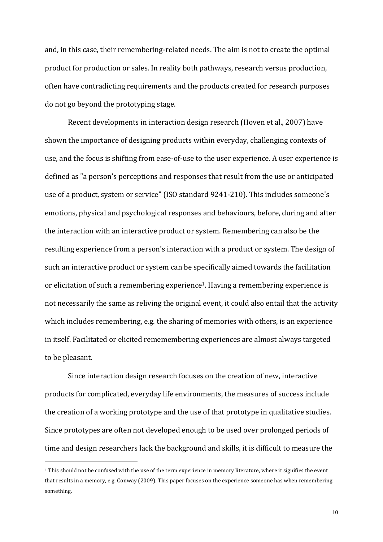and, in this case, their remembering-related needs. The aim is not to create the optimal product for production or sales. In reality both pathways, research versus production, often have contradicting requirements and the products created for research purposes do not go beyond the prototyping stage.

Recent developments in interaction design research (Hoven et al., 2007) have shown the importance of designing products within everyday, challenging contexts of use, and the focus is shifting from ease-of-use to the user experience. A user experience is defined as "a person's perceptions and responses that result from the use or anticipated use of a product, system or service" (ISO standard 9241-210). This includes someone's emotions, physical and psychological responses and behaviours, before, during and after the interaction with an interactive product or system. Remembering can also be the resulting experience from a person's interaction with a product or system. The design of such an interactive product or system can be specifically aimed towards the facilitation or elicitation of such a remembering experience<sup>1</sup>. Having a remembering experience is not necessarily the same as reliving the original event, it could also entail that the activity which includes remembering, e.g. the sharing of memories with others, is an experience in itself. Facilitated or elicited rememembering experiences are almost always targeted to be pleasant.

Since interaction design research focuses on the creation of new, interactive products for complicated, everyday life environments, the measures of success include the creation of a working prototype and the use of that prototype in qualitative studies. Since prototypes are often not developed enough to be used over prolonged periods of time and design researchers lack the background and skills, it is difficult to measure the

<sup>&</sup>lt;sup>1</sup> This should not be confused with the use of the term experience in memory literature, where it signifies the event that results in a memory, e.g. Conway (2009). This paper focuses on the experience someone has when remembering something.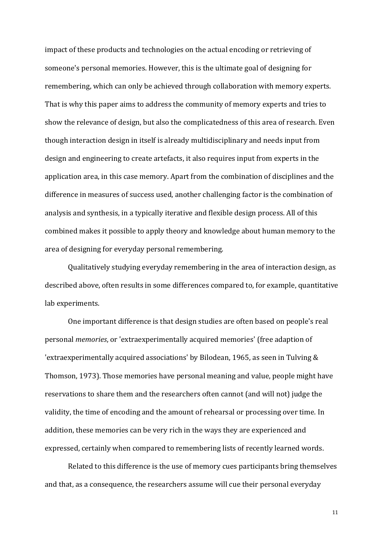impact of these products and technologies on the actual encoding or retrieving of someone's personal memories. However, this is the ultimate goal of designing for remembering, which can only be achieved through collaboration with memory experts. That is why this paper aims to address the community of memory experts and tries to show the relevance of design, but also the complicatedness of this area of research. Even though interaction design in itself is already multidisciplinary and needs input from design and engineering to create artefacts, it also requires input from experts in the application area, in this case memory. Apart from the combination of disciplines and the difference in measures of success used, another challenging factor is the combination of analysis and synthesis, in a typically iterative and flexible design process. All of this combined makes it possible to apply theory and knowledge about human memory to the area of designing for everyday personal remembering.

Qualitatively studying everyday remembering in the area of interaction design, as described above, often results in some differences compared to, for example, quantitative lab experiments.

One important difference is that design studies are often based on people's real personal *memories*, or 'extraexperimentally acquired memories' (free adaption of 'extraexperimentally acquired associations' by Bilodean, 1965, as seen in Tulving  $\&$ Thomson, 1973). Those memories have personal meaning and value, people might have reservations to share them and the researchers often cannot (and will not) judge the validity, the time of encoding and the amount of rehearsal or processing over time. In addition, these memories can be very rich in the ways they are experienced and expressed, certainly when compared to remembering lists of recently learned words.

Related to this difference is the use of memory cues participants bring themselves and that, as a consequence, the researchers assume will cue their personal everyday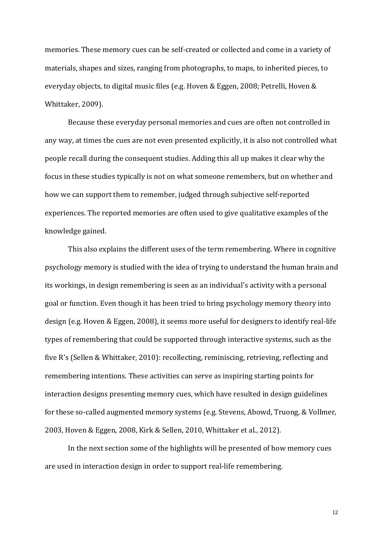memories. These memory cues can be self-created or collected and come in a variety of materials, shapes and sizes, ranging from photographs, to maps, to inherited pieces, to everyday objects, to digital music files (e.g. Hoven & Eggen, 2008; Petrelli, Hoven & Whittaker, 2009).

Because these everyday personal memories and cues are often not controlled in any way, at times the cues are not even presented explicitly, it is also not controlled what people recall during the consequent studies. Adding this all up makes it clear why the focus in these studies typically is not on what someone remembers, but on whether and how we can support them to remember, judged through subjective self-reported experiences. The reported memories are often used to give qualitative examples of the knowledge gained.

This also explains the different uses of the term remembering. Where in cognitive psychology memory is studied with the idea of trying to understand the human brain and its workings, in design remembering is seen as an individual's activity with a personal goal or function. Even though it has been tried to bring psychology memory theory into design (e.g. Hoven & Eggen, 2008), it seems more useful for designers to identify real-life types of remembering that could be supported through interactive systems, such as the five R's (Sellen & Whittaker, 2010): recollecting, reminiscing, retrieving, reflecting and remembering intentions. These activities can serve as inspiring starting points for interaction designs presenting memory cues, which have resulted in design guidelines for these so-called augmented memory systems (e.g. Stevens, Abowd, Truong, & Vollmer, 2003, Hoven & Eggen, 2008, Kirk & Sellen, 2010, Whittaker et al., 2012).

In the next section some of the highlights will be presented of how memory cues are used in interaction design in order to support real-life remembering.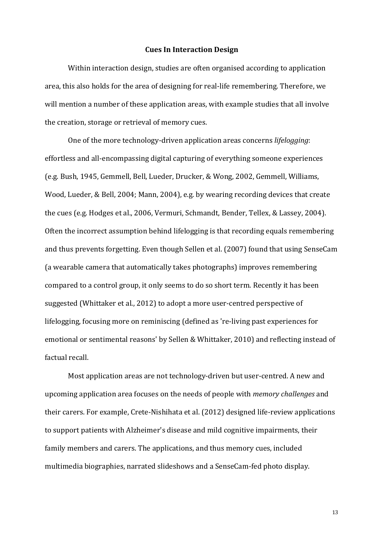## **Cues In Interaction Design**

Within interaction design, studies are often organised according to application area, this also holds for the area of designing for real-life remembering. Therefore, we will mention a number of these application areas, with example studies that all involve the creation, storage or retrieval of memory cues.

One of the more technology-driven application areas concerns *lifelogging*: effortless and all-encompassing digital capturing of everything someone experiences (e.g. Bush, 1945, Gemmell, Bell, Lueder, Drucker, & Wong, 2002, Gemmell, Williams, Wood, Lueder, & Bell, 2004; Mann, 2004), e.g. by wearing recording devices that create the cues (e.g. Hodges et al., 2006, Vermuri, Schmandt, Bender, Tellex, & Lassey, 2004). Often the incorrect assumption behind lifelogging is that recording equals remembering and thus prevents forgetting. Even though Sellen et al. (2007) found that using SenseCam (a wearable camera that automatically takes photographs) improves remembering compared to a control group, it only seems to do so short term. Recently it has been suggested (Whittaker et al., 2012) to adopt a more user-centred perspective of lifelogging, focusing more on reminiscing (defined as 're-living past experiences for emotional or sentimental reasons' by Sellen & Whittaker, 2010) and reflecting instead of factual recall.

Most application areas are not technology-driven but user-centred. A new and upcoming application area focuses on the needs of people with *memory challenges* and their carers. For example, Crete-Nishihata et al. (2012) designed life-review applications to support patients with Alzheimer's disease and mild cognitive impairments, their family members and carers. The applications, and thus memory cues, included multimedia biographies, narrated slideshows and a SenseCam-fed photo display.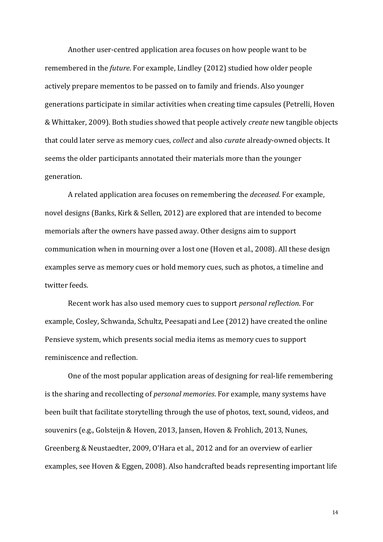Another user-centred application area focuses on how people want to be remembered in the *future*. For example, Lindley (2012) studied how older people actively prepare mementos to be passed on to family and friends. Also younger generations participate in similar activities when creating time capsules (Petrelli, Hoven & Whittaker, 2009). Both studies showed that people actively *create* new tangible objects that could later serve as memory cues, *collect* and also *curate* already-owned objects. It seems the older participants annotated their materials more than the younger generation.

A related application area focuses on remembering the *deceased*. For example, novel designs (Banks, Kirk & Sellen, 2012) are explored that are intended to become memorials after the owners have passed away. Other designs aim to support communication when in mourning over a lost one (Hoven et al., 2008). All these design examples serve as memory cues or hold memory cues, such as photos, a timeline and twitter feeds.

Recent work has also used memory cues to support *personal reflection*. For example, Cosley, Schwanda, Schultz, Peesapati and Lee (2012) have created the online Pensieve system, which presents social media items as memory cues to support reminiscence and reflection.

One of the most popular application areas of designing for real-life remembering is the sharing and recollecting of *personal memories*. For example, many systems have been built that facilitate storytelling through the use of photos, text, sound, videos, and souvenirs (e.g., Golsteijn & Hoven, 2013, Jansen, Hoven & Frohlich, 2013, Nunes, Greenberg & Neustaedter, 2009, O'Hara et al., 2012 and for an overview of earlier examples, see Hoven & Eggen, 2008). Also handcrafted beads representing important life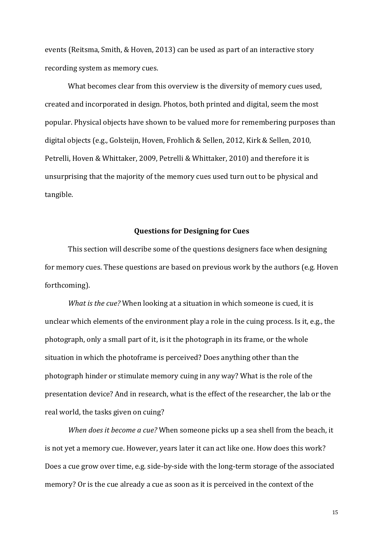events (Reitsma, Smith, & Hoven, 2013) can be used as part of an interactive story recording system as memory cues.

What becomes clear from this overview is the diversity of memory cues used, created and incorporated in design. Photos, both printed and digital, seem the most popular. Physical objects have shown to be valued more for remembering purposes than digital objects (e.g., Golsteijn, Hoven, Frohlich & Sellen, 2012, Kirk & Sellen, 2010, Petrelli, Hoven & Whittaker, 2009, Petrelli & Whittaker, 2010) and therefore it is unsurprising that the majority of the memory cues used turn out to be physical and tangible.

## **Questions for Designing for Cues**

This section will describe some of the questions designers face when designing for memory cues. These questions are based on previous work by the authors (e.g. Hoven forthcoming).

*What is the cue?* When looking at a situation in which someone is cued, it is unclear which elements of the environment play a role in the cuing process. Is it, e.g., the photograph, only a small part of it, is it the photograph in its frame, or the whole situation in which the photoframe is perceived? Does anything other than the photograph hinder or stimulate memory cuing in any way? What is the role of the presentation device? And in research, what is the effect of the researcher, the lab or the real world, the tasks given on cuing?

*When does it become a cue?* When someone picks up a sea shell from the beach, it is not yet a memory cue. However, years later it can act like one. How does this work? Does a cue grow over time, e.g. side-by-side with the long-term storage of the associated memory? Or is the cue already a cue as soon as it is perceived in the context of the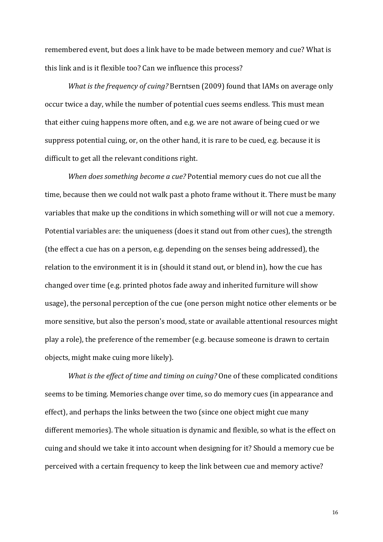remembered event, but does a link have to be made between memory and cue? What is this link and is it flexible too? Can we influence this process?

*What is the frequency of cuing?* Berntsen (2009) found that IAMs on average only occur twice a day, while the number of potential cues seems endless. This must mean that either cuing happens more often, and e.g. we are not aware of being cued or we suppress potential cuing, or, on the other hand, it is rare to be cued, e.g. because it is difficult to get all the relevant conditions right.

*When does something become a cue?* Potential memory cues do not cue all the time, because then we could not walk past a photo frame without it. There must be many variables that make up the conditions in which something will or will not cue a memory. Potential variables are: the uniqueness (does it stand out from other cues), the strength (the effect a cue has on a person, e.g. depending on the senses being addressed), the relation to the environment it is in (should it stand out, or blend in), how the cue has changed over time (e.g. printed photos fade away and inherited furniture will show usage), the personal perception of the cue (one person might notice other elements or be more sensitive, but also the person's mood, state or available attentional resources might play a role), the preference of the remember (e.g. because someone is drawn to certain objects, might make cuing more likely).

*What is the effect of time and timing on cuing?* One of these complicated conditions seems to be timing. Memories change over time, so do memory cues (in appearance and effect), and perhaps the links between the two (since one object might cue many different memories). The whole situation is dynamic and flexible, so what is the effect on cuing and should we take it into account when designing for it? Should a memory cue be perceived with a certain frequency to keep the link between cue and memory active?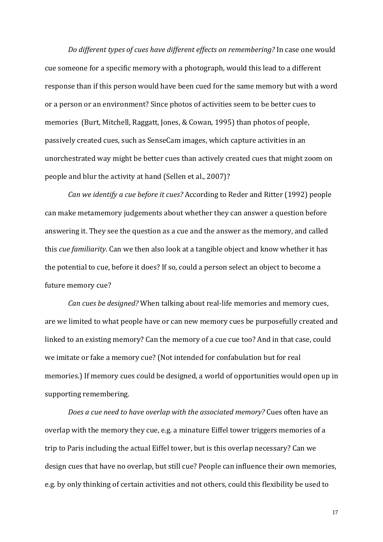*Do different types of cues have different effects on remembering?* In case one would cue someone for a specific memory with a photograph, would this lead to a different response than if this person would have been cued for the same memory but with a word or a person or an environment? Since photos of activities seem to be better cues to memories (Burt, Mitchell, Raggatt, Jones, & Cowan, 1995) than photos of people, passively created cues, such as SenseCam images, which capture activities in an unorchestrated way might be better cues than actively created cues that might zoom on people and blur the activity at hand (Sellen et al., 2007)?

*Can* we *identify* a cue before it cues? According to Reder and Ritter (1992) people can make metamemory judgements about whether they can answer a question before answering it. They see the question as a cue and the answer as the memory, and called this *cue familiarity*. Can we then also look at a tangible object and know whether it has the potential to cue, before it does? If so, could a person select an object to become a future memory cue?

*Can cues be designed?* When talking about real-life memories and memory cues, are we limited to what people have or can new memory cues be purposefully created and linked to an existing memory? Can the memory of a cue cue too? And in that case, could we imitate or fake a memory cue? (Not intended for confabulation but for real memories.) If memory cues could be designed, a world of opportunities would open up in supporting remembering.

*Does a cue need to have overlap with the associated memory?* Cues often have an overlap with the memory they cue, e.g. a minature Eiffel tower triggers memories of a trip to Paris including the actual Eiffel tower, but is this overlap necessary? Can we design cues that have no overlap, but still cue? People can influence their own memories, e.g. by only thinking of certain activities and not others, could this flexibility be used to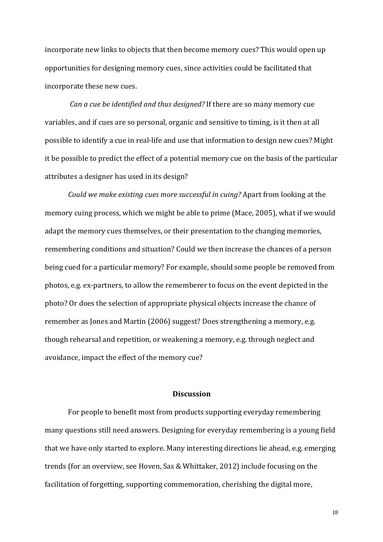incorporate new links to objects that then become memory cues? This would open up opportunities for designing memory cues, since activities could be facilitated that incorporate these new cues.

*Can a cue be identified and thus designed?* If there are so many memory cue variables, and if cues are so personal, organic and sensitive to timing, is it then at all possible to identify a cue in real-life and use that information to design new cues? Might it be possible to predict the effect of a potential memory cue on the basis of the particular attributes a designer has used in its design?

*Could* we make existing cues more successful in cuing? Apart from looking at the memory cuing process, which we might be able to prime (Mace, 2005), what if we would adapt the memory cues themselves, or their presentation to the changing memories, remembering conditions and situation? Could we then increase the chances of a person being cued for a particular memory? For example, should some people be removed from photos, e.g. ex-partners, to allow the rememberer to focus on the event depicted in the photo? Or does the selection of appropriate physical objects increase the chance of remember as Jones and Martin (2006) suggest? Does strengthening a memory, e.g. though rehearsal and repetition, or weakening a memory, e.g. through neglect and avoidance, impact the effect of the memory cue?

## **Discussion**

For people to benefit most from products supporting everyday remembering many questions still need answers. Designing for everyday remembering is a young field that we have only started to explore. Many interesting directions lie ahead, e.g. emerging trends (for an overview, see Hoven, Sas & Whittaker, 2012) include focusing on the facilitation of forgetting, supporting commemoration, cherishing the digital more,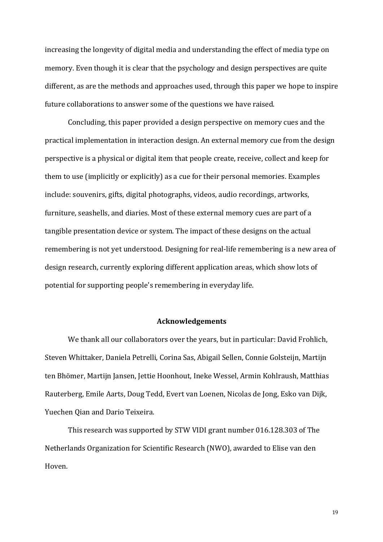increasing the longevity of digital media and understanding the effect of media type on memory. Even though it is clear that the psychology and design perspectives are quite different, as are the methods and approaches used, through this paper we hope to inspire future collaborations to answer some of the questions we have raised.

Concluding, this paper provided a design perspective on memory cues and the practical implementation in interaction design. An external memory cue from the design perspective is a physical or digital item that people create, receive, collect and keep for them to use (implicitly or explicitly) as a cue for their personal memories. Examples include: souvenirs, gifts, digital photographs, videos, audio recordings, artworks, furniture, seashells, and diaries. Most of these external memory cues are part of a tangible presentation device or system. The impact of these designs on the actual remembering is not yet understood. Designing for real-life remembering is a new area of design research, currently exploring different application areas, which show lots of potential for supporting people's remembering in everyday life.

### **Acknowledgements**

We thank all our collaborators over the years, but in particular: David Frohlich, Steven Whittaker, Daniela Petrelli, Corina Sas, Abigail Sellen, Connie Golsteijn, Martijn ten Bhömer, Martijn Jansen, Jettie Hoonhout, Ineke Wessel, Armin Kohlraush, Matthias Rauterberg, Emile Aarts, Doug Tedd, Evert van Loenen, Nicolas de Jong, Esko van Dijk, Yuechen Qian and Dario Teixeira.

This research was supported by STW VIDI grant number 016.128.303 of The Netherlands Organization for Scientific Research (NWO), awarded to Elise van den Hoven.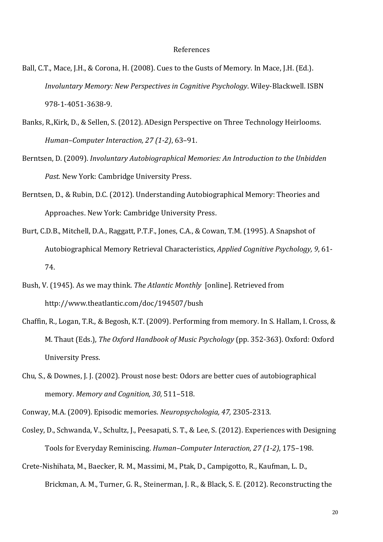## References

- Ball, C.T., Mace, J.H., & Corona, H. (2008). Cues to the Gusts of Memory. In Mace, J.H. (Ed.). *Involuntary Memory: New Perspectives in Cognitive Psychology.* Wiley-Blackwell. ISBN 978-1-4051-3638-9.
- Banks, R.,Kirk, D., & Sellen, S. (2012). ADesign Perspective on Three Technology Heirlooms. *Human–Computer Interaction, 27 (1-2), 63-91.*
- Berntsen, D. (2009). *Involuntary Autobiographical Memories: An Introduction to the Unbidden* Past. New York: Cambridge University Press.
- Berntsen, D., & Rubin, D.C. (2012). Understanding Autobiographical Memory: Theories and Approaches. New York: Cambridge University Press.
- Burt, C.D.B., Mitchell, D.A., Raggatt, P.T.F., Jones, C.A., & Cowan, T.M. (1995). A Snapshot of Autobiographical Memory Retrieval Characteristics, *Applied Cognitive Psychology*, 9, 61-74.
- Bush, V. (1945). As we may think. *The Atlantic Monthly* [online]. Retrieved from http://www.theatlantic.com/doc/194507/bush
- Chaffin, R., Logan, T.R., & Begosh, K.T. (2009). Performing from memory. In S. Hallam, I. Cross, & M. Thaut (Eds.), *The Oxford Handbook of Music Psychology* (pp. 352-363). Oxford: Oxford University Press.
- Chu, S., & Downes, J. J. (2002). Proust nose best: Odors are better cues of autobiographical memory. Memory and Cognition, 30, 511-518.
- Conway, M.A. (2009). Episodic memories. *Neuropsychologia, 47, 2305-2313.*
- Cosley, D., Schwanda, V., Schultz, J., Peesapati, S. T., & Lee, S. (2012). Experiences with Designing Tools for Everyday Reminiscing. *Human–Computer Interaction, 27 (1-2)*, 175–198.
- Crete-Nishihata, M., Baecker, R. M., Massimi, M., Ptak, D., Campigotto, R., Kaufman, L. D., Brickman, A. M., Turner, G. R., Steinerman, J. R., & Black, S. E. (2012). Reconstructing the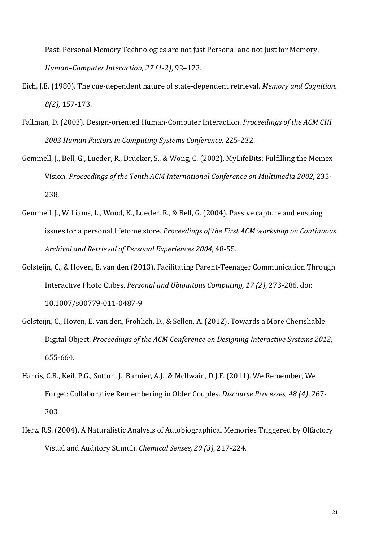Past: Personal Memory Technologies are not just Personal and not just for Memory. *Human–Computer Interaction, 27 (1-2)*, 92–123. 

- Eich, J.E. (1980). The cue-dependent nature of state-dependent retrieval. *Memory and Cognition*, *8(2)*, 157-173.
- Fallman, D. (2003). Design-oriented Human-Computer Interaction. *Proceedings of the ACM CHI 2003 Human Factors in Computing Systems Conference*, 225-232.
- Gemmell, J., Bell, G., Lueder, R., Drucker, S., & Wong, C. (2002). MyLifeBits: Fulfilling the Memex Vision. *Proceedings of the Tenth ACM International Conference on Multimedia 2002*, 235- 238.
- Gemmell, J., Williams, L., Wood, K., Lueder, R., & Bell, G. (2004). Passive capture and ensuing issues for a personal lifetome store. *Proceedings of the First ACM workshop on Continuous* Archival and Retrieval of Personal Experiences 2004, 48-55.
- Golsteijn, C., & Hoven, E. van den (2013). Facilitating Parent-Teenager Communication Through Interactive Photo Cubes. *Personal and Ubiquitous Computing, 17 (2)*, 273-286. doi: 10.1007/s00779-011-0487-9
- Golsteijn, C., Hoven, E. van den, Frohlich, D., & Sellen, A. (2012). Towards a More Cherishable Digital Object. *Proceedings of the ACM Conference on Designing Interactive Systems 2012*, 655-664.
- Harris, C.B., Keil, P.G., Sutton, J., Barnier, A.J., & McIlwain, D.J.F. (2011). We Remember, We Forget: Collaborative Remembering in Older Couples. *Discourse Processes, 48 (4), 267-*303.
- Herz, R.S. (2004). A Naturalistic Analysis of Autobiographical Memories Triggered by Olfactory Visual and Auditory Stimuli. *Chemical Senses, 29 (3)*, 217-224.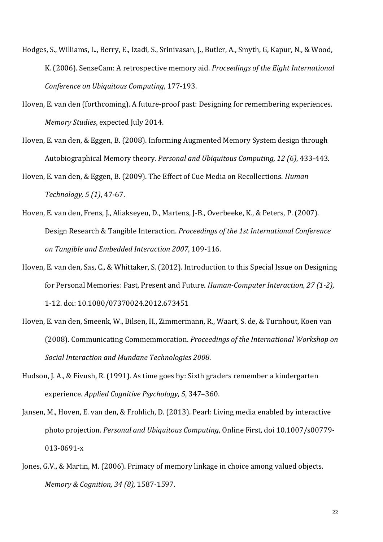- Hodges, S., Williams, L., Berry, E., Izadi, S., Srinivasan, J., Butler, A., Smyth, G, Kapur, N., & Wood, K. (2006). SenseCam: A retrospective memory aid. *Proceedings of the Eight International Conference on Ubiquitous Computing, 177-193.*
- Hoven, E. van den (forthcoming). A future-proof past: Designing for remembering experiences. *Memory Studies*, expected July 2014.
- Hoven, E. van den, & Eggen, B. (2008). Informing Augmented Memory System design through Autobiographical Memory theory. *Personal and Ubiquitous Computing, 12 (6)*, 433-443.
- Hoven, E. van den, & Eggen, B. (2009). The Effect of Cue Media on Recollections. *Human Technology,* 5 (1), 47-67.
- Hoven, E. van den, Frens, J., Aliakseyeu, D., Martens, J-B., Overbeeke, K., & Peters, P. (2007). Design Research & Tangible Interaction. *Proceedings of the 1st International Conference on Tangible and Embedded Interaction 2007*, 109-116.
- Hoven, E. van den, Sas, C., & Whittaker, S. (2012). Introduction to this Special Issue on Designing for Personal Memories: Past, Present and Future. *Human-Computer Interaction, 27 (1-2)*, 1-12. doi: 10.1080/07370024.2012.673451
- Hoven, E. van den, Smeenk, W., Bilsen, H., Zimmermann, R., Waart, S. de, & Turnhout, Koen van (2008). Communicating Commemmoration. *Proceedings of the International Workshop on* Social Interaction and Mundane Technologies 2008.
- Hudson, J. A., & Fivush, R. (1991). As time goes by: Sixth graders remember a kindergarten experience. *Applied Cognitive Psychology, 5, 347-360.*
- Jansen, M., Hoven, E. van den, & Frohlich, D. (2013). Pearl: Living media enabled by interactive photo projection. *Personal and Ubiquitous Computing*, Online First, doi 10.1007/s00779-013-0691-x
- Jones, G.V., & Martin, M. (2006). Primacy of memory linkage in choice among valued objects. *Memory & Cognition, 34 (8),* 1587-1597.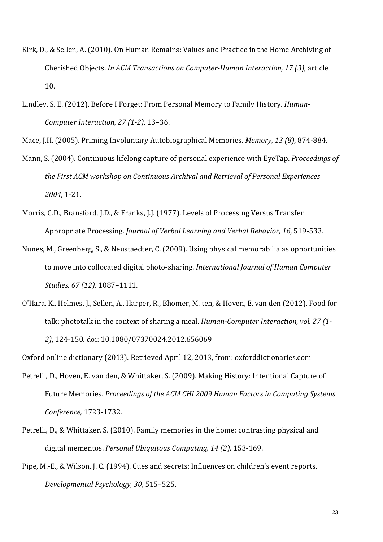- Kirk, D., & Sellen, A. (2010). On Human Remains: Values and Practice in the Home Archiving of Cherished Objects. *In ACM Transactions on Computer-Human Interaction, 17 (3), article* 10.
- Lindley, S. E. (2012). Before I Forget: From Personal Memory to Family History. *Human-Computer Interaction, 27 (1-2), 13-36.*

Mace, J.H. (2005). Priming Involuntary Autobiographical Memories. *Memory, 13 (8)*, 874-884.

- Mann, S. (2004). Continuous lifelong capture of personal experience with EyeTap. *Proceedings of* the First ACM workshop on Continuous Archival and Retrieval of Personal Experiences *2004*, 1-21.
- Morris, C.D., Bransford, J.D., & Franks, J.J. (1977). Levels of Processing Versus Transfer Appropriate Processing. *Journal of Verbal Learning and Verbal Behavior*, 16, 519-533.
- Nunes, M., Greenberg, S., & Neustaedter, C. (2009). Using physical memorabilia as opportunities to move into collocated digital photo-sharing. *International Journal of Human Computer Studies, 67 (12)*. 1087–1111.
- O'Hara, K., Helmes, J., Sellen, A., Harper, R., Bhömer, M. ten, & Hoven, E. van den (2012). Food for talk: phototalk in the context of sharing a meal. *Human-Computer Interaction, vol. 27 (1-*2), 124-150. doi: 10.1080/07370024.2012.656069

Oxford online dictionary (2013). Retrieved April 12, 2013, from: oxforddictionaries.com

- Petrelli, D., Hoven, E. van den, & Whittaker, S. (2009). Making History: Intentional Capture of Future Memories. Proceedings of the ACM CHI 2009 Human Factors in Computing Systems *Conference,* 1723-1732.
- Petrelli, D., & Whittaker, S. (2010). Family memories in the home: contrasting physical and digital mementos. *Personal Ubiquitous Computing, 14 (2), 153-169.*
- Pipe, M.-E., & Wilson, J. C. (1994). Cues and secrets: Influences on children's event reports. *Developmental Psychology, 30*, 515–525.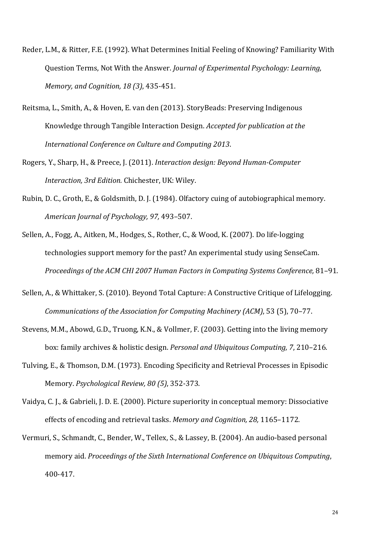- Reder, L.M., & Ritter, F.E. (1992). What Determines Initial Feeling of Knowing? Familiarity With Question Terms, Not With the Answer. *Journal of Experimental Psychology: Learning*, *Memory, and Cognition, 18 (3), 435-451.*
- Reitsma, L., Smith, A., & Hoven, E. van den (2013). StoryBeads: Preserving Indigenous Knowledge through Tangible Interaction Design. *Accepted for publication at the* International Conference on Culture and Computing 2013.
- Rogers, Y., Sharp, H., & Preece, J. (2011). *Interaction design: Beyond Human-Computer Interaction, 3rd Edition.* Chichester, UK: Wiley.
- Rubin, D. C., Groth, E., & Goldsmith, D. J. (1984). Olfactory cuing of autobiographical memory. *American Journal of Psychology, 97,* 493–507.
- Sellen, A., Fogg, A., Aitken, M., Hodges, S., Rother, C., & Wood, K. (2007). Do life-logging technologies support memory for the past? An experimental study using SenseCam. *Proceedings of the ACM CHI 2007 Human Factors in Computing Systems Conference, 81-91.*
- Sellen, A., & Whittaker, S. (2010). Beyond Total Capture: A Constructive Critique of Lifelogging. *Communications of the Association for Computing Machinery (ACM)*, 53 (5), 70–77.
- Stevens, M.M., Abowd, G.D., Truong, K.N., & Vollmer, F. (2003). Getting into the living memory box: family archives & holistic design. *Personal and Ubiquitous Computing, 7, 210–216.*
- Tulving, E., & Thomson, D.M. (1973). Encoding Specificity and Retrieval Processes in Episodic Memory. *Psychological Review, 80 (5)*, 352-373.
- Vaidya, C. J., & Gabrieli, J. D. E. (2000). Picture superiority in conceptual memory: Dissociative effects of encoding and retrieval tasks. Memory and Cognition, 28, 1165–1172.
- Vermuri, S., Schmandt, C., Bender, W., Tellex, S., & Lassey, B. (2004). An audio-based personal memory aid. *Proceedings of the Sixth International Conference on Ubiquitous Computing*, 400-417.